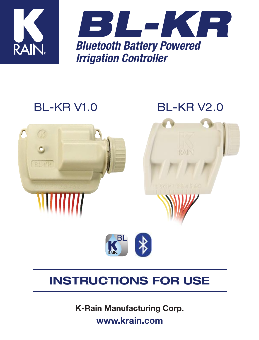



# BL-KR V1.0 BL-KR V2.0



# INSTRUCTIONS FOR USE

K-Rain Manufacturing Corp. www.krain.com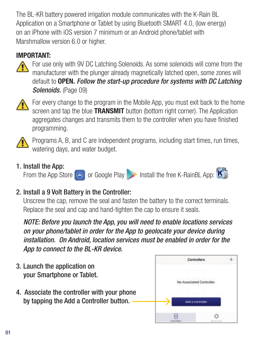The BL-KR battery powered irrigation module communicates with the K-Rain BL Application on a Smartphone or Tablet by using Bluetooth SMART 4.0, (low energy) on an iPhone with iOS version 7 minimum or an Android phone/tablet with Marshmallow version 6.0 or higher.

#### IMPORTANT:



For use only with 9V DC Latching Solenoids. As some solenoids will come from the manufacturer with the plunger already magnetically latched open, some zones will default to OPEN. *Follow the start-up procedure for systems with DC Latching*  Solenoids. (Page 09)



For every change to the program in the Mobile App, you must exit back to the home screen and tap the blue **TRANSMIT** button (bottom right corner). The Application aggregates changes and transmits them to the controller when you have finished programming.



Programs A, B, and C are independent programs, including start times, run times, watering days, and water budget.

#### 1. Install the App:

From the App Store  $\bigcirc$  or Google Play Install the free K-RainBL App:

#### 2. Install a 9 Volt Battery in the Controller:

Unscrew the cap, remove the seal and fasten the battery to the correct terminals. Replace the seal and cap and hand-tighten the cap to ensure it seals.

*NOTE: Before you launch the App, you will need to enable locations services on your phone/tablet in order for the App to geolocate your device during installation. On Android, location services must be enabled in order for the App to connect to the BL-KR device.*

- 3. Launch the application on your Smartphone or Tablet.
- 4. Associate the controller with your phone by tapping the Add a Controller button.

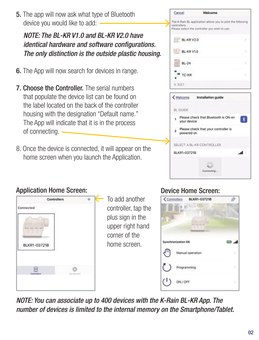5. The app will now ask what type of Bluetooth device you would like to add:

### *NOTE: The BL-KR V1.0 and BL-KR V2.0 have identical hardware and software configurations. The only distinction is the outside plastic housing.*

- 6. The App will now search for devices in range.
- **7. Choose the Controller.** The serial numbers that populate the device list can be found on the label located on the back of the controller housing with the designation "Default name." The App will indicate that it is in the process of connecting.
- 8. Once the device is connected, it will appear on the home screen when you launch the Application.





### Application Home Screen:



To add another controller, tap the plus sign in the upper right hand corner of the home screen.

#### Device Home Screen:



*NOTE: You can associate up to 400 devices with the K-Rain BL-KR App. The number of devices is limited to the internal memory on the Smartphone/Tablet.*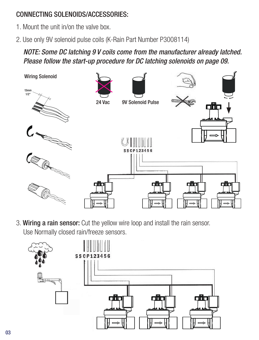#### CONNECTING SOLENOIDS/ACCESSORIES:

- 1. Mount the unit in/on the valve box.
- 2. Use only 9V solenoid pulse coils (K-Rain Part Number P3008114)

*NOTE: Some DC latching 9 V coils come from the manufacturer already latched. Please follow the start-up procedure for DC latching solenoids on page 09.*



3. Wiring a rain sensor: Cut the yellow wire loop and install the rain sensor. Use Normally closed rain/freeze sensors.

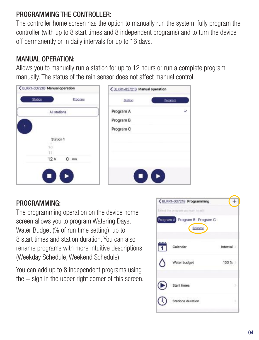#### PROGRAMMING THE CONTROLLER:

The controller home screen has the option to manually run the system, fully program the controller (with up to 8 start times and 8 independent programs) and to turn the device off permanently or in daily intervals for up to 16 days.

#### MANUAL OPERATION:

Allows you to manually run a station for up to 12 hours or run a complete program manually. The status of the rain sensor does not affect manual control.



#### PROGRAMMING:

The programming operation on the device home screen allows you to program Watering Days, Water Budget (% of run time setting), up to 8 start times and station duration. You can also rename programs with more intuitive descriptions (Weekday Schedule, Weekend Schedule).

You can add up to 8 independent programs using the  $+$  sign in the upper right corner of this screen.

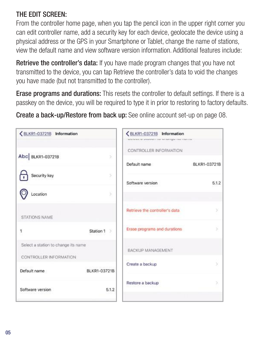#### THE EDIT SCREEN:

From the controller home page, when you tap the pencil icon in the upper right corner you can edit controller name, add a security key for each device, geolocate the device using a physical address or the GPS in your Smartphone or Tablet, change the name of stations, view the default name and view software version information. Additional features include:

Retrieve the controller's data: If you have made program changes that you have not transmitted to the device, you can tap Retrieve the controller's data to void the changes you have made (but not transmitted to the controller).

**Erase programs and durations:** This resets the controller to default settings. If there is a passkey on the device, you will be required to type it in prior to restoring to factory defaults.

Create a back-up/Restore from back up: See online account set-up on page 08.

| ←BLKR1-03721B Information                                     |                     | ←BLKR1-03721B Information<br>NAMES OF SAMPLE FOR THE REPORT OF SAFEKEEPING. |              |
|---------------------------------------------------------------|---------------------|-----------------------------------------------------------------------------|--------------|
| Abc BLKR1-03721B                                              | $\mathcal{S}$       | CONTROLLER INFORMATION                                                      |              |
|                                                               |                     | Default name                                                                | BLKR1-03721B |
| Security key                                                  | s                   | Software version                                                            | 5.1.2        |
| Location                                                      | ×                   |                                                                             |              |
| <b>STATIONS NAME</b>                                          |                     | Retrieve the controller's data                                              | s            |
| 1                                                             | Station 1<br>-5     | Erase programs and durations                                                | 5            |
| Select a station to change its name<br>CONTROLLER INFORMATION |                     | BACKUP MANAGEMENT                                                           |              |
| Default name                                                  | <b>BLKR1-03721B</b> | Create a backup                                                             |              |
| Software version                                              | 5.1.2               | Restore a backup                                                            |              |
|                                                               |                     |                                                                             |              |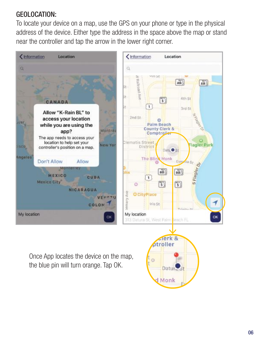#### GEOLOCATION:

To locate your device on a map, use the GPS on your phone or type in the physical address of the device. Either type the address in the space above the map or stand near the controller and tap the arrow in the lower right corner.



Once App locates the device on the map. the blue pin will turn orange. Tap OK.

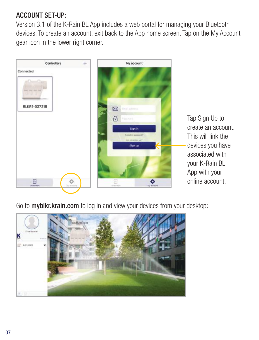#### ACCOUNT SET-UP:

Version 3.1 of the K-Rain BL App includes a web portal for managing your Bluetooth devices. To create an account, exit back to the App home screen. Tap on the My Account gear icon in the lower right corner.



Tap Sign Up to create an account. This will link the devices you have associated with your K-Rain BL App with your online account.

Go to myblkr.krain.com to log in and view your devices from your desktop:

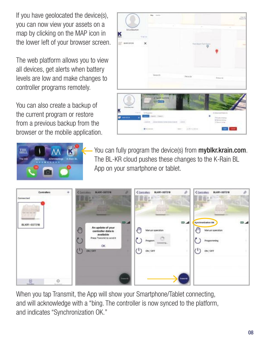If you have geolocated the device(s), you can now view your assets on a map by clicking on the MAP icon in the lower left of your browser screen.

The web platform allows you to view all devices, get alerts when battery levels are low and make changes to controller programs remotely.

You can also create a backup of the current program or restore from a previous backup from the browser or the mobile application.





You can fully program the device(s) from myblkr.krain.com. The BL-KR cloud pushes these changes to the K-Rain BL App on your smartphone or tablet.



When you tap Transmit, the App will show your Smartphone/Tablet connecting, and will acknowledge with a "bing. The controller is now synced to the platform, and indicates "Synchronization OK."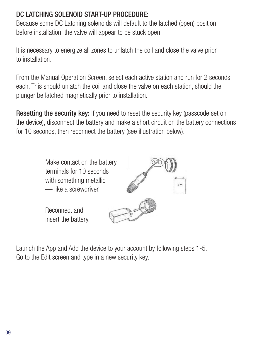#### DC LATCHING SOLENOID START-UP PROCEDURE:

Because some DC Latching solenoids will default to the latched (open) position before installation, the valve will appear to be stuck open.

It is necessary to energize all zones to unlatch the coil and close the valve prior to installation.

From the Manual Operation Screen, select each active station and run for 2 seconds each. This should unlatch the coil and close the valve on each station, should the plunger be latched magnetically prior to installation.

Resetting the security key: If you need to reset the security key (passcode set on the device), disconnect the battery and make a short circuit on the battery connections for 10 seconds, then reconnect the battery (see illustration below).



Launch the App and Add the device to your account by following steps 1-5. Go to the Edit screen and type in a new security key.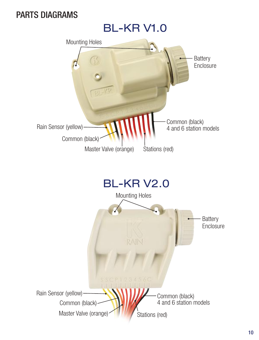## PARTS DIAGRAMS